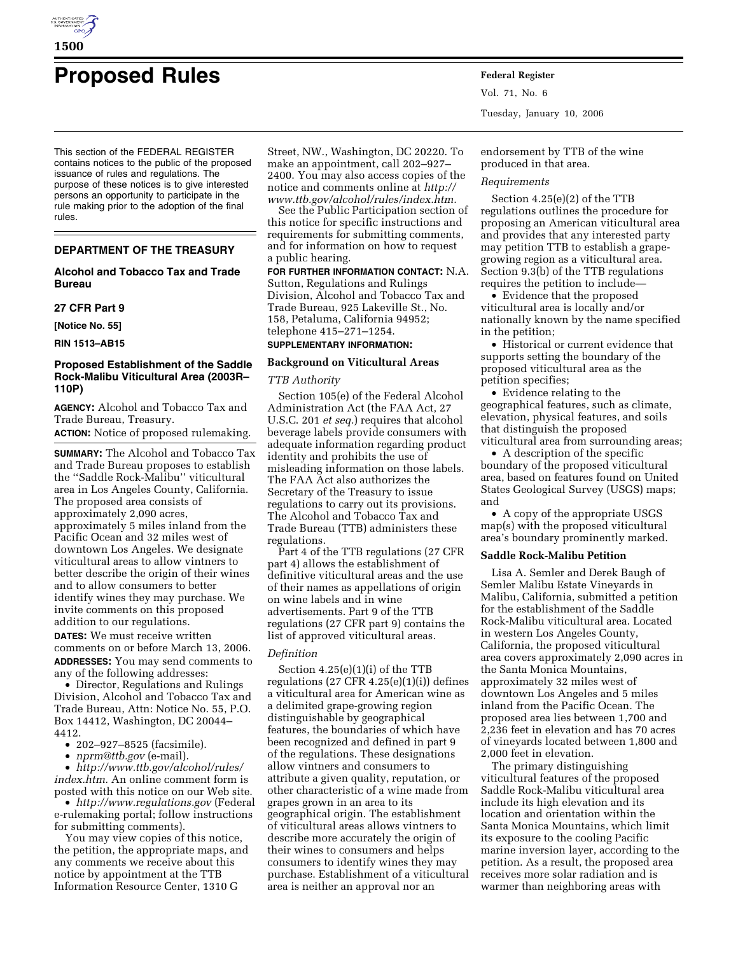

# **Proposed Rules Federal Register**

This section of the FEDERAL REGISTER contains notices to the public of the proposed issuance of rules and regulations. The purpose of these notices is to give interested persons an opportunity to participate in the rule making prior to the adoption of the final rules.

# **DEPARTMENT OF THE TREASURY**

### **Alcohol and Tobacco Tax and Trade Bureau**

#### **27 CFR Part 9**

**[Notice No. 55]** 

**RIN 1513–AB15** 

#### **Proposed Establishment of the Saddle Rock-Malibu Viticultural Area (2003R– 110P)**

**AGENCY:** Alcohol and Tobacco Tax and Trade Bureau, Treasury.

**ACTION:** Notice of proposed rulemaking.

**SUMMARY:** The Alcohol and Tobacco Tax and Trade Bureau proposes to establish the ''Saddle Rock-Malibu'' viticultural area in Los Angeles County, California. The proposed area consists of approximately 2,090 acres, approximately 5 miles inland from the Pacific Ocean and 32 miles west of downtown Los Angeles. We designate viticultural areas to allow vintners to better describe the origin of their wines and to allow consumers to better identify wines they may purchase. We invite comments on this proposed addition to our regulations.

**DATES:** We must receive written comments on or before March 13, 2006. **ADDRESSES:** You may send comments to any of the following addresses:

• Director, Regulations and Rulings Division, Alcohol and Tobacco Tax and Trade Bureau, Attn: Notice No. 55, P.O. Box 14412, Washington, DC 20044– 4412.

• 202–927–8525 (facsimile).

• *nprm@ttb.gov* (e-mail).

• *http://www.ttb.gov/alcohol/rules/ index.htm.* An online comment form is posted with this notice on our Web site.

• *http://www.regulations.gov* (Federal e-rulemaking portal; follow instructions for submitting comments).

You may view copies of this notice, the petition, the appropriate maps, and any comments we receive about this notice by appointment at the TTB Information Resource Center, 1310 G

Street, NW., Washington, DC 20220. To make an appointment, call 202–927– 2400. You may also access copies of the notice and comments online at *http:// www.ttb.gov/alcohol/rules/index.htm.* 

See the Public Participation section of this notice for specific instructions and requirements for submitting comments, and for information on how to request a public hearing.

**FOR FURTHER INFORMATION CONTACT:** N.A. Sutton, Regulations and Rulings Division, Alcohol and Tobacco Tax and Trade Bureau, 925 Lakeville St., No. 158, Petaluma, California 94952; telephone 415–271–1254.

# **SUPPLEMENTARY INFORMATION:**

# **Background on Viticultural Areas**

#### *TTB Authority*

Section 105(e) of the Federal Alcohol Administration Act (the FAA Act, 27 U.S.C. 201 *et seq.*) requires that alcohol beverage labels provide consumers with adequate information regarding product identity and prohibits the use of misleading information on those labels. The FAA Act also authorizes the Secretary of the Treasury to issue regulations to carry out its provisions. The Alcohol and Tobacco Tax and Trade Bureau (TTB) administers these regulations.

Part 4 of the TTB regulations (27 CFR part 4) allows the establishment of definitive viticultural areas and the use of their names as appellations of origin on wine labels and in wine advertisements. Part 9 of the TTB regulations (27 CFR part 9) contains the list of approved viticultural areas.

# *Definition*

Section 4.25(e)(1)(i) of the TTB regulations  $(27 \text{ CFR } 4.25(e)(1)(i))$  defines a viticultural area for American wine as a delimited grape-growing region distinguishable by geographical features, the boundaries of which have been recognized and defined in part 9 of the regulations. These designations allow vintners and consumers to attribute a given quality, reputation, or other characteristic of a wine made from grapes grown in an area to its geographical origin. The establishment of viticultural areas allows vintners to describe more accurately the origin of their wines to consumers and helps consumers to identify wines they may purchase. Establishment of a viticultural area is neither an approval nor an

Vol. 71, No. 6 Tuesday, January 10, 2006

endorsement by TTB of the wine produced in that area.

#### *Requirements*

Section 4.25(e)(2) of the TTB regulations outlines the procedure for proposing an American viticultural area and provides that any interested party may petition TTB to establish a grapegrowing region as a viticultural area. Section 9.3(b) of the TTB regulations requires the petition to include—

• Evidence that the proposed viticultural area is locally and/or nationally known by the name specified in the petition;

• Historical or current evidence that supports setting the boundary of the proposed viticultural area as the petition specifies;

• Evidence relating to the geographical features, such as climate, elevation, physical features, and soils that distinguish the proposed viticultural area from surrounding areas;

• A description of the specific boundary of the proposed viticultural area, based on features found on United States Geological Survey (USGS) maps; and

• A copy of the appropriate USGS map(s) with the proposed viticultural area's boundary prominently marked.

#### **Saddle Rock-Malibu Petition**

Lisa A. Semler and Derek Baugh of Semler Malibu Estate Vineyards in Malibu, California, submitted a petition for the establishment of the Saddle Rock-Malibu viticultural area. Located in western Los Angeles County, California, the proposed viticultural area covers approximately 2,090 acres in the Santa Monica Mountains, approximately 32 miles west of downtown Los Angeles and 5 miles inland from the Pacific Ocean. The proposed area lies between 1,700 and 2,236 feet in elevation and has 70 acres of vineyards located between 1,800 and 2,000 feet in elevation.

The primary distinguishing viticultural features of the proposed Saddle Rock-Malibu viticultural area include its high elevation and its location and orientation within the Santa Monica Mountains, which limit its exposure to the cooling Pacific marine inversion layer, according to the petition. As a result, the proposed area receives more solar radiation and is warmer than neighboring areas with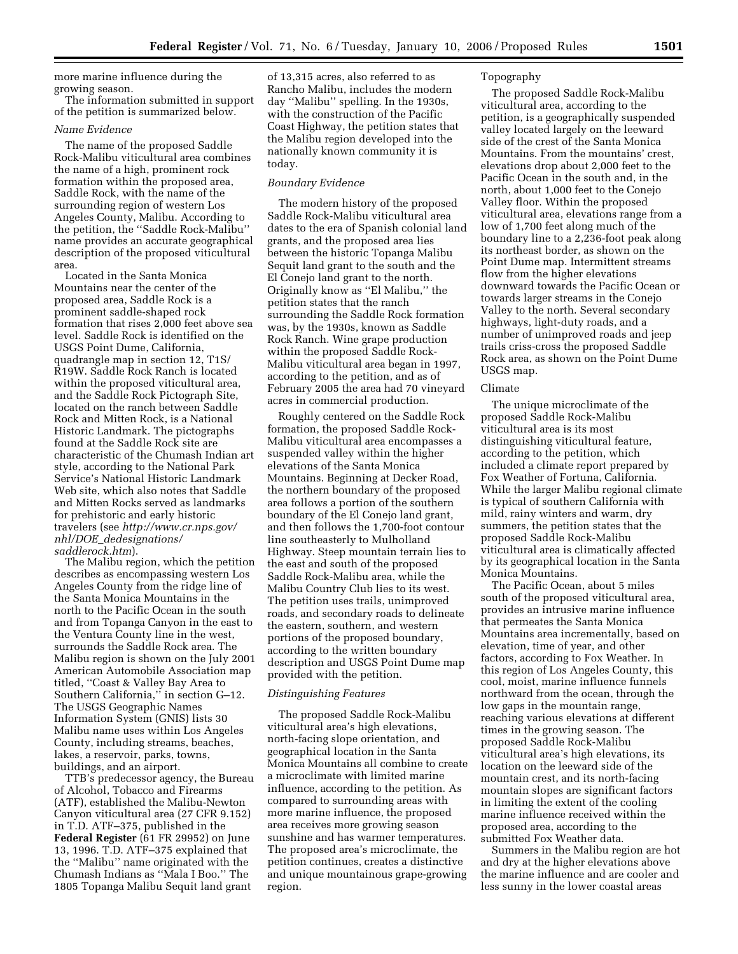more marine influence during the growing season.

The information submitted in support of the petition is summarized below.

#### *Name Evidence*

The name of the proposed Saddle Rock-Malibu viticultural area combines the name of a high, prominent rock formation within the proposed area, Saddle Rock, with the name of the surrounding region of western Los Angeles County, Malibu. According to the petition, the ''Saddle Rock-Malibu'' name provides an accurate geographical description of the proposed viticultural area.

Located in the Santa Monica Mountains near the center of the proposed area, Saddle Rock is a prominent saddle-shaped rock formation that rises 2,000 feet above sea level. Saddle Rock is identified on the USGS Point Dume, California, quadrangle map in section 12, T1S/ R19W. Saddle Rock Ranch is located within the proposed viticultural area, and the Saddle Rock Pictograph Site, located on the ranch between Saddle Rock and Mitten Rock, is a National Historic Landmark. The pictographs found at the Saddle Rock site are characteristic of the Chumash Indian art style, according to the National Park Service's National Historic Landmark Web site, which also notes that Saddle and Mitten Rocks served as landmarks for prehistoric and early historic travelers (see *http://www.cr.nps.gov/ nhl/DOE*\_*dedesignations/ saddlerock.htm*).

The Malibu region, which the petition describes as encompassing western Los Angeles County from the ridge line of the Santa Monica Mountains in the north to the Pacific Ocean in the south and from Topanga Canyon in the east to the Ventura County line in the west, surrounds the Saddle Rock area. The Malibu region is shown on the July 2001 American Automobile Association map titled, ''Coast & Valley Bay Area to Southern California,'' in section G–12. The USGS Geographic Names Information System (GNIS) lists 30 Malibu name uses within Los Angeles County, including streams, beaches, lakes, a reservoir, parks, towns, buildings, and an airport.

TTB's predecessor agency, the Bureau of Alcohol, Tobacco and Firearms (ATF), established the Malibu-Newton Canyon viticultural area (27 CFR 9.152) in T.D. ATF–375, published in the **Federal Register** (61 FR 29952) on June 13, 1996. T.D. ATF–375 explained that the ''Malibu'' name originated with the Chumash Indians as ''Mala I Boo.'' The 1805 Topanga Malibu Sequit land grant

of 13,315 acres, also referred to as Rancho Malibu, includes the modern day ''Malibu'' spelling. In the 1930s, with the construction of the Pacific Coast Highway, the petition states that the Malibu region developed into the nationally known community it is today.

#### *Boundary Evidence*

The modern history of the proposed Saddle Rock-Malibu viticultural area dates to the era of Spanish colonial land grants, and the proposed area lies between the historic Topanga Malibu Sequit land grant to the south and the El Conejo land grant to the north. Originally know as ''El Malibu,'' the petition states that the ranch surrounding the Saddle Rock formation was, by the 1930s, known as Saddle Rock Ranch. Wine grape production within the proposed Saddle Rock-Malibu viticultural area began in 1997, according to the petition, and as of February 2005 the area had 70 vineyard acres in commercial production.

Roughly centered on the Saddle Rock formation, the proposed Saddle Rock-Malibu viticultural area encompasses a suspended valley within the higher elevations of the Santa Monica Mountains. Beginning at Decker Road, the northern boundary of the proposed area follows a portion of the southern boundary of the El Conejo land grant, and then follows the 1,700-foot contour line southeasterly to Mulholland Highway. Steep mountain terrain lies to the east and south of the proposed Saddle Rock-Malibu area, while the Malibu Country Club lies to its west. The petition uses trails, unimproved roads, and secondary roads to delineate the eastern, southern, and western portions of the proposed boundary, according to the written boundary description and USGS Point Dume map provided with the petition.

### *Distinguishing Features*

The proposed Saddle Rock-Malibu viticultural area's high elevations, north-facing slope orientation, and geographical location in the Santa Monica Mountains all combine to create a microclimate with limited marine influence, according to the petition. As compared to surrounding areas with more marine influence, the proposed area receives more growing season sunshine and has warmer temperatures. The proposed area's microclimate, the petition continues, creates a distinctive and unique mountainous grape-growing region.

#### Topography

The proposed Saddle Rock-Malibu viticultural area, according to the petition, is a geographically suspended valley located largely on the leeward side of the crest of the Santa Monica Mountains. From the mountains' crest, elevations drop about 2,000 feet to the Pacific Ocean in the south and, in the north, about 1,000 feet to the Conejo Valley floor. Within the proposed viticultural area, elevations range from a low of 1,700 feet along much of the boundary line to a 2,236-foot peak along its northeast border, as shown on the Point Dume map. Intermittent streams flow from the higher elevations downward towards the Pacific Ocean or towards larger streams in the Conejo Valley to the north. Several secondary highways, light-duty roads, and a number of unimproved roads and jeep trails criss-cross the proposed Saddle Rock area, as shown on the Point Dume USGS map.

#### Climate

The unique microclimate of the proposed Saddle Rock-Malibu viticultural area is its most distinguishing viticultural feature, according to the petition, which included a climate report prepared by Fox Weather of Fortuna, California. While the larger Malibu regional climate is typical of southern California with mild, rainy winters and warm, dry summers, the petition states that the proposed Saddle Rock-Malibu viticultural area is climatically affected by its geographical location in the Santa Monica Mountains.

The Pacific Ocean, about 5 miles south of the proposed viticultural area, provides an intrusive marine influence that permeates the Santa Monica Mountains area incrementally, based on elevation, time of year, and other factors, according to Fox Weather. In this region of Los Angeles County, this cool, moist, marine influence funnels northward from the ocean, through the low gaps in the mountain range, reaching various elevations at different times in the growing season. The proposed Saddle Rock-Malibu viticultural area's high elevations, its location on the leeward side of the mountain crest, and its north-facing mountain slopes are significant factors in limiting the extent of the cooling marine influence received within the proposed area, according to the submitted Fox Weather data.

Summers in the Malibu region are hot and dry at the higher elevations above the marine influence and are cooler and less sunny in the lower coastal areas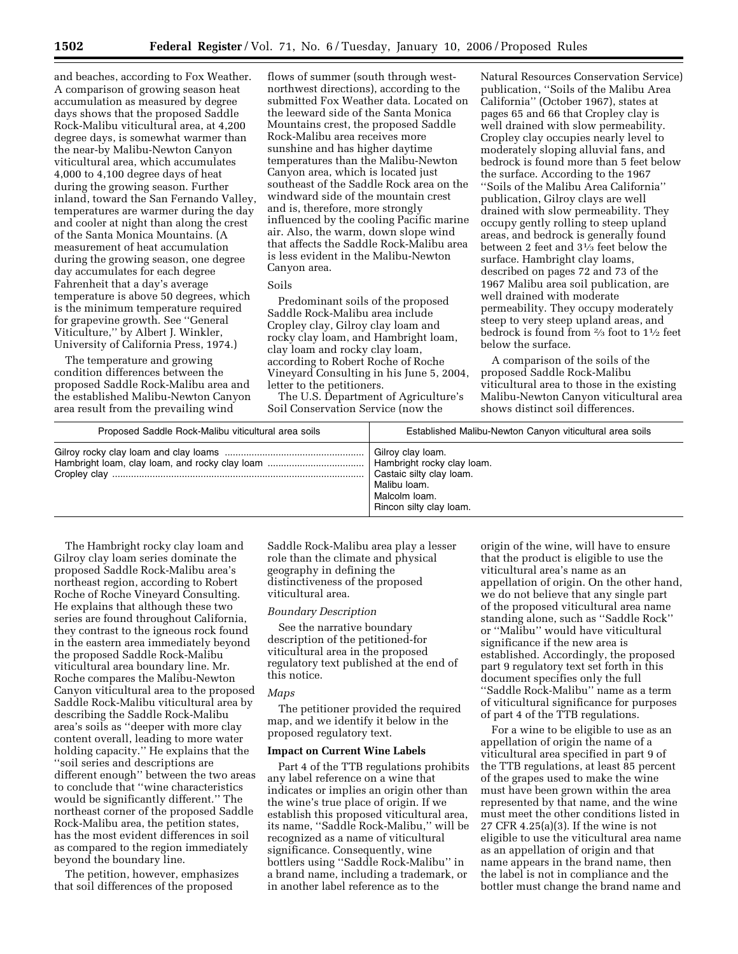and beaches, according to Fox Weather. A comparison of growing season heat accumulation as measured by degree days shows that the proposed Saddle Rock-Malibu viticultural area, at 4,200 degree days, is somewhat warmer than the near-by Malibu-Newton Canyon viticultural area, which accumulates 4,000 to 4,100 degree days of heat during the growing season. Further inland, toward the San Fernando Valley, temperatures are warmer during the day and cooler at night than along the crest of the Santa Monica Mountains. (A measurement of heat accumulation during the growing season, one degree day accumulates for each degree Fahrenheit that a day's average temperature is above 50 degrees, which is the minimum temperature required for grapevine growth. See ''General Viticulture,'' by Albert J. Winkler, University of California Press, 1974.)

The temperature and growing condition differences between the proposed Saddle Rock-Malibu area and the established Malibu-Newton Canyon area result from the prevailing wind

flows of summer (south through westnorthwest directions), according to the submitted Fox Weather data. Located on the leeward side of the Santa Monica Mountains crest, the proposed Saddle Rock-Malibu area receives more sunshine and has higher daytime temperatures than the Malibu-Newton Canyon area, which is located just southeast of the Saddle Rock area on the windward side of the mountain crest and is, therefore, more strongly influenced by the cooling Pacific marine air. Also, the warm, down slope wind that affects the Saddle Rock-Malibu area is less evident in the Malibu-Newton Canyon area.

Soils

Predominant soils of the proposed Saddle Rock-Malibu area include Cropley clay, Gilroy clay loam and rocky clay loam, and Hambright loam, clay loam and rocky clay loam, according to Robert Roche of Roche Vineyard Consulting in his June 5, 2004, letter to the petitioners.

The U.S. Department of Agriculture's Soil Conservation Service (now the

Natural Resources Conservation Service) publication, ''Soils of the Malibu Area California'' (October 1967), states at pages 65 and 66 that Cropley clay is well drained with slow permeability. Cropley clay occupies nearly level to moderately sloping alluvial fans, and bedrock is found more than 5 feet below the surface. According to the 1967 ''Soils of the Malibu Area California'' publication, Gilroy clays are well drained with slow permeability. They occupy gently rolling to steep upland areas, and bedrock is generally found between 2 feet and 31⁄3 feet below the surface. Hambright clay loams, described on pages 72 and 73 of the 1967 Malibu area soil publication, are well drained with moderate permeability. They occupy moderately steep to very steep upland areas, and bedrock is found from 2⁄3 foot to 11⁄2 feet below the surface.

A comparison of the soils of the proposed Saddle Rock-Malibu viticultural area to those in the existing Malibu-Newton Canyon viticultural area shows distinct soil differences.

| Proposed Saddle Rock-Malibu viticultural area soils | Established Malibu-Newton Canyon viticultural area soils                                                                                |
|-----------------------------------------------------|-----------------------------------------------------------------------------------------------------------------------------------------|
|                                                     | Gilroy clay loam.<br>Hambright rocky clay loam.<br>Castaic silty clay loam.<br>Malibu Ioam.<br>Malcolm Ioam.<br>Rincon silty clay loam. |

The Hambright rocky clay loam and Gilroy clay loam series dominate the proposed Saddle Rock-Malibu area's northeast region, according to Robert Roche of Roche Vineyard Consulting. He explains that although these two series are found throughout California, they contrast to the igneous rock found in the eastern area immediately beyond the proposed Saddle Rock-Malibu viticultural area boundary line. Mr. Roche compares the Malibu-Newton Canyon viticultural area to the proposed Saddle Rock-Malibu viticultural area by describing the Saddle Rock-Malibu area's soils as ''deeper with more clay content overall, leading to more water holding capacity.'' He explains that the ''soil series and descriptions are different enough'' between the two areas to conclude that ''wine characteristics would be significantly different.'' The northeast corner of the proposed Saddle Rock-Malibu area, the petition states, has the most evident differences in soil as compared to the region immediately beyond the boundary line.

The petition, however, emphasizes that soil differences of the proposed

Saddle Rock-Malibu area play a lesser role than the climate and physical geography in defining the distinctiveness of the proposed viticultural area.

#### *Boundary Description*

See the narrative boundary description of the petitioned-for viticultural area in the proposed regulatory text published at the end of this notice.

# *Maps*

The petitioner provided the required map, and we identify it below in the proposed regulatory text.

#### **Impact on Current Wine Labels**

Part 4 of the TTB regulations prohibits any label reference on a wine that indicates or implies an origin other than the wine's true place of origin. If we establish this proposed viticultural area, its name, ''Saddle Rock-Malibu,'' will be recognized as a name of viticultural significance. Consequently, wine bottlers using ''Saddle Rock-Malibu'' in a brand name, including a trademark, or in another label reference as to the

origin of the wine, will have to ensure that the product is eligible to use the viticultural area's name as an appellation of origin. On the other hand, we do not believe that any single part of the proposed viticultural area name standing alone, such as ''Saddle Rock'' or ''Malibu'' would have viticultural significance if the new area is established. Accordingly, the proposed part 9 regulatory text set forth in this document specifies only the full ''Saddle Rock-Malibu'' name as a term of viticultural significance for purposes of part 4 of the TTB regulations.

For a wine to be eligible to use as an appellation of origin the name of a viticultural area specified in part 9 of the TTB regulations, at least 85 percent of the grapes used to make the wine must have been grown within the area represented by that name, and the wine must meet the other conditions listed in 27 CFR 4.25(a)(3). If the wine is not eligible to use the viticultural area name as an appellation of origin and that name appears in the brand name, then the label is not in compliance and the bottler must change the brand name and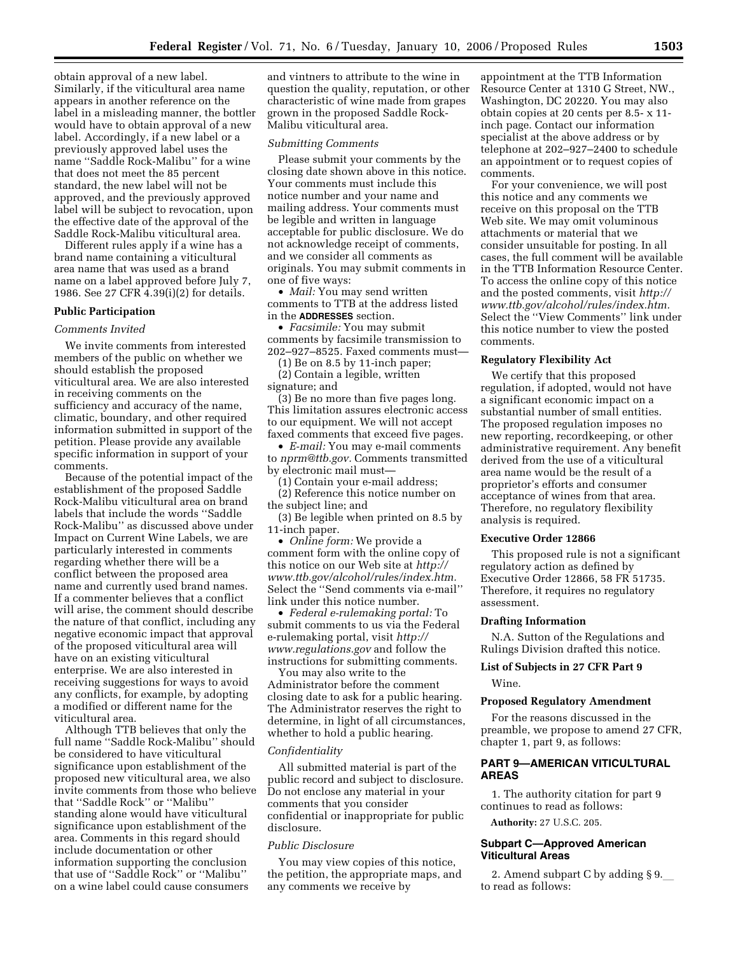obtain approval of a new label. Similarly, if the viticultural area name appears in another reference on the label in a misleading manner, the bottler would have to obtain approval of a new label. Accordingly, if a new label or a previously approved label uses the name ''Saddle Rock-Malibu'' for a wine that does not meet the 85 percent standard, the new label will not be approved, and the previously approved label will be subject to revocation, upon the effective date of the approval of the Saddle Rock-Malibu viticultural area.

Different rules apply if a wine has a brand name containing a viticultural area name that was used as a brand name on a label approved before July 7, 1986. See 27 CFR 4.39(i)(2) for details.

#### **Public Participation**

#### *Comments Invited*

We invite comments from interested members of the public on whether we should establish the proposed viticultural area. We are also interested in receiving comments on the sufficiency and accuracy of the name, climatic, boundary, and other required information submitted in support of the petition. Please provide any available specific information in support of your comments.

Because of the potential impact of the establishment of the proposed Saddle Rock-Malibu viticultural area on brand labels that include the words ''Saddle Rock-Malibu'' as discussed above under Impact on Current Wine Labels, we are particularly interested in comments regarding whether there will be a conflict between the proposed area name and currently used brand names. If a commenter believes that a conflict will arise, the comment should describe the nature of that conflict, including any negative economic impact that approval of the proposed viticultural area will have on an existing viticultural enterprise. We are also interested in receiving suggestions for ways to avoid any conflicts, for example, by adopting a modified or different name for the viticultural area.

Although TTB believes that only the full name ''Saddle Rock-Malibu'' should be considered to have viticultural significance upon establishment of the proposed new viticultural area, we also invite comments from those who believe that ''Saddle Rock'' or ''Malibu'' standing alone would have viticultural significance upon establishment of the area. Comments in this regard should include documentation or other information supporting the conclusion that use of ''Saddle Rock'' or ''Malibu'' on a wine label could cause consumers

and vintners to attribute to the wine in question the quality, reputation, or other characteristic of wine made from grapes grown in the proposed Saddle Rock-Malibu viticultural area.

#### *Submitting Comments*

Please submit your comments by the closing date shown above in this notice. Your comments must include this notice number and your name and mailing address. Your comments must be legible and written in language acceptable for public disclosure. We do not acknowledge receipt of comments, and we consider all comments as originals. You may submit comments in one of five ways:

• *Mail:* You may send written comments to TTB at the address listed in the **ADDRESSES** section.

• *Facsimile:* You may submit comments by facsimile transmission to 202–927–8525. Faxed comments must—

(1) Be on 8.5 by 11-inch paper; (2) Contain a legible, written

signature; and

(3) Be no more than five pages long. This limitation assures electronic access to our equipment. We will not accept faxed comments that exceed five pages.

• *E-mail:* You may e-mail comments to *nprm@ttb.gov.* Comments transmitted by electronic mail must—

(1) Contain your e-mail address;

(2) Reference this notice number on the subject line; and

(3) Be legible when printed on 8.5 by 11-inch paper.

• *Online form:* We provide a comment form with the online copy of this notice on our Web site at *http:// www.ttb.gov/alcohol/rules/index.htm.*  Select the ''Send comments via e-mail'' link under this notice number.

• *Federal e-rulemaking portal:* To submit comments to us via the Federal e-rulemaking portal, visit *http:// www.regulations.gov* and follow the instructions for submitting comments.

You may also write to the Administrator before the comment closing date to ask for a public hearing. The Administrator reserves the right to determine, in light of all circumstances, whether to hold a public hearing.

#### *Confidentiality*

All submitted material is part of the public record and subject to disclosure. Do not enclose any material in your comments that you consider confidential or inappropriate for public disclosure.

#### *Public Disclosure*

You may view copies of this notice, the petition, the appropriate maps, and any comments we receive by

appointment at the TTB Information Resource Center at 1310 G Street, NW., Washington, DC 20220. You may also obtain copies at 20 cents per 8.5- x 11 inch page. Contact our information specialist at the above address or by telephone at 202–927–2400 to schedule an appointment or to request copies of comments.

For your convenience, we will post this notice and any comments we receive on this proposal on the TTB Web site. We may omit voluminous attachments or material that we consider unsuitable for posting. In all cases, the full comment will be available in the TTB Information Resource Center. To access the online copy of this notice and the posted comments, visit *http:// www.ttb.gov/alcohol/rules/index.htm.*  Select the ''View Comments'' link under this notice number to view the posted comments.

#### **Regulatory Flexibility Act**

We certify that this proposed regulation, if adopted, would not have a significant economic impact on a substantial number of small entities. The proposed regulation imposes no new reporting, recordkeeping, or other administrative requirement. Any benefit derived from the use of a viticultural area name would be the result of a proprietor's efforts and consumer acceptance of wines from that area. Therefore, no regulatory flexibility analysis is required.

#### **Executive Order 12866**

This proposed rule is not a significant regulatory action as defined by Executive Order 12866, 58 FR 51735. Therefore, it requires no regulatory assessment.

#### **Drafting Information**

N.A. Sutton of the Regulations and Rulings Division drafted this notice.

# **List of Subjects in 27 CFR Part 9**

Wine.

# **Proposed Regulatory Amendment**

For the reasons discussed in the preamble, we propose to amend 27 CFR, chapter 1, part 9, as follows:

# **PART 9—AMERICAN VITICULTURAL AREAS**

1. The authority citation for part 9 continues to read as follows:

**Authority:** 27 U.S.C. 205.

# **Subpart C—Approved American Viticultural Areas**

2. Amend subpart C by adding  $\S$  9. to read as follows: